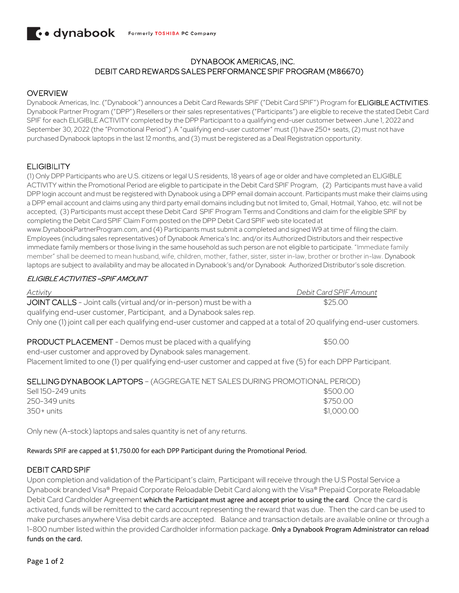### DYNABOOK AMERICAS, INC. DEBIT CARD REWARDS SALES PERFORMANCE SPIF PROGRAM (M86670)

### OVERVIEW

Dynabook Americas, Inc. ("Dynabook") announces a Debit Card Rewards SPIF ("Debit Card SPIF") Program for ELIGIBLE ACTIVITIES. Dynabook Partner Program ("DPP") Resellers or their sales representatives ("Participants") are eligible to receive the stated Debit Card SPIF for each ELIGIBLE ACTIVITY completed by the DPP Participant to a qualifying end-user customer between June 1, 2022 and September 30, 2022 (the "Promotional Period"). A "qualifying end-user customer" must (1) have 250+ seats, (2) must not have purchased Dynabook laptops in the last 12 months, and (3) must be registered as a Deal Registration opportunity.

# ELIGIBILITY

(1) Only DPP Participants who are U.S. citizens or legal U.S residents, 18 years of age or older and have completed an ELIGIBLE ACTIVITY within the Promotional Period are eligible to participate in the Debit Card SPIF Program, (2) Participants must have a valid DPP login account and must be registered with Dynabook using a DPP email domain account. Participants must make their claims using a DPP email account and claims using any third party email domains including but not limited to, Gmail, Hotmail, Yahoo, etc. will not be accepted, (3) Participants must accept these Debit Card SPIF Program Terms and Conditions and claim for the eligible SPIF by completing the Debit Card SPIF Claim Form posted on the DPP Debit Card SPIF web site located at

www.DynabookPartnerProgram.com, and (4) Participants must submit a completed and signed W9 at time of filing the claim. Employees (including sales representatives) of Dynabook America's Inc. and/or its Authorized Distributors and their respective immediate family members or those living in the same household as such person are not eligible to participate. "Immediate family member" shall be deemed to mean husband, wife, children, mother, father, sister, sister in-law, brother or brother in-law. Dynabook laptops are subject to availability and may be allocated in Dynabook's and/or Dynabook Authorized Distributor's sole discretion.

### ELIGIBLE ACTIVITIES –SPIF AMOUNT

| Activity                                                                                                                                    | Debit Card SPIF Amount |
|---------------------------------------------------------------------------------------------------------------------------------------------|------------------------|
| JOINT CALLS - Joint calls (virtual and/or in-person) must be with a<br>qualifying end-user customer, Participant, and a Dynabook sales rep. | \$25.00                |
| Only one (1) joint call per each qualifying end-user customer and capped at a total of 20 qualifying end-user customers.                    |                        |
| <b>PRODUCT PLACEMENT</b> - Demos must be placed with a qualifying<br>end-user customer and approved by Dynabook sales management.           | \$50.00                |
| Placement limited to one (1) per qualifying end-user customer and capped at five (5) for each DPP Participant.                              |                        |
| SELLING DYNABOOK LAPTOPS - (AGGREGATE NET SALES DURING PROMOTIONAL PERIOD)                                                                  |                        |
| Sell 150-249 units                                                                                                                          | \$500.00               |
| 250-349 units                                                                                                                               | \$750.00               |
| $350+$ units                                                                                                                                | \$1,000.00             |

Only new (A-stock) laptops and sales quantity is net of any returns.

#### Rewards SPIF are capped at \$1,750.00 for each DPP Participant during the Promotional Period.

#### DEBIT CARD SPIF

Upon completion and validation of the Participant's claim, Participant will receive through the U.S Postal Service a Dynabook branded Visa® Prepaid Corporate Reloadable Debit Card along with the Visa® Prepaid Corporate Reloadable Debit Card Cardholder Agreement which the Participant must agree and accept prior to using the card. Once the card is activated, funds will be remitted to the card account representing the reward that was due. Then the card can be used to make purchases anywhere Visa debit cards are accepted. Balance and transaction details are available online or through a 1-800 number listed within the provided Cardholder information package. Only a Dynabook Program Administrator can reload funds on the card.